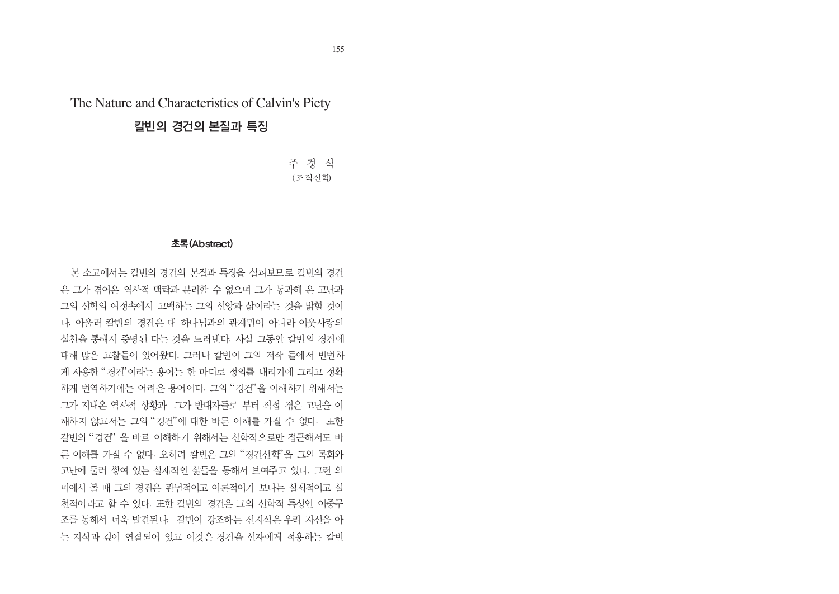# The Nature and Characteristics of Calvin's Piety

# 칼빈의 경건의 본질과 특징

주 경 식 (조직신학)

## 초록(Abstract)

본 소고에서는 칼빈의 경건의 본질과 특징을 살펴보므로 칼빈의 경건 은 그가 겪어온 역사적 맥락과 분리할 수 없으며 그가 통과해 온 고난과 그의 신학의 여정속에서 고백하는 그의 신앙과 삶이라는 것을 밝힐 것이 다. 아울러 칼빈의 경건은 대 하나님과의 관계만이 아니라 이웃사랑의 실천을 통해서 증명된 다는 것을 드러내다. 사실 그동안 칼빈의 경건에 대해 많은 고찰들이 있어왔다. 그러나 칼빈이 그의 저작 들에서 빈번하 "겨가" . 그의 "경거" 그가 지내온 역사적 상황과 그가 반대자들로 부터 직접 겪은 고난을 이 "경거"에 대하 바른 이해를 가질 수 없다. " 경거" . 오히려 칵비으 그의 "경거시학" 고난에 둘러 쌓여 있는 실제적인 삶들을 통해서 보여주고 있다. 그런 의 미에서 볼 때 그의 경건은 관념적이고 이론적이기 보다는 실제적이고 실 천적이라고 할 수 있다. 또한 칼빈의 경건은 그의 신학적 특성인 이중구 조를 통해서 더욱 발견된다. 칼빈이 강조하는 신지식은 우리 자신을 아 는 지식과 깊이 여결되어 있고 이것은 경건을 신자에게 적용하는 칼빈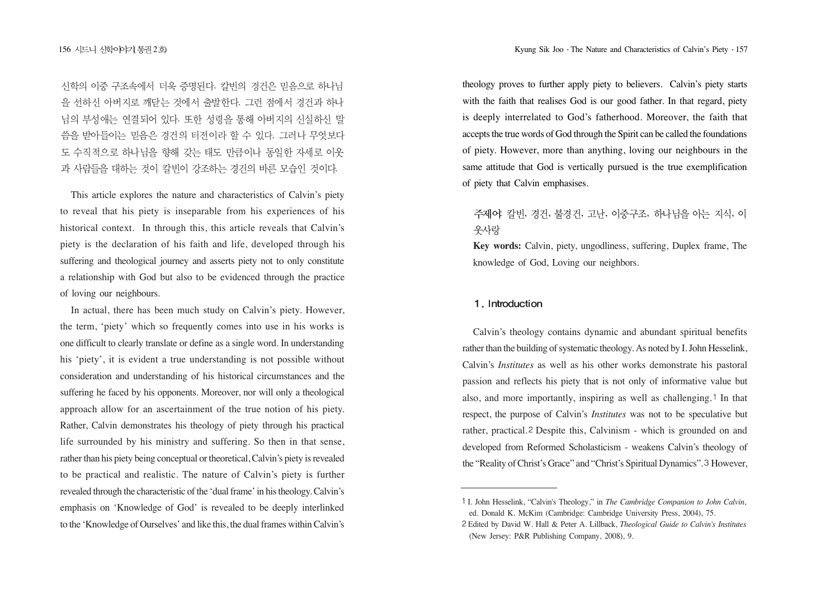신학의 이중 구조속에서 더욱 증명된다. 칼빈의 경건은 믿음으로 하나님 을 선하신 아버지로 깨닫는 것에서 출발하다. 그런 점에서 경건과 하나 님의 부성애는 연결되어 있다. 또한 성령을 통해 아버지의 신실하신 말 씀을 받아들이는 믿음은 경건의 터전이라 할 수 있다. 그러나 무엇보다 도 수직적으로 하나님을 향해 갖는 태도 만큼이나 동일한 자세로 이웃 과 사람들을 대하는 것이 칼빈이 강조하는 경건의 바른 모습인 것이다.

This article explores the nature and characteristics of Calvin's piety to reveal that his piety is inseparable from his experiences of his historical context. In through this, this article reveals that Calvin's piety is the declaration of his faith and life, developed through his suffering and theological journey and asserts piety not to only constitute a relationship with God but also to be evidenced through the practice of loving our neighbours.

In actual, there has been much study on Calvin's piety. However, the term, 'piety' which so frequently comes into use in his works is one difficult to clearly translate or define as a single word. In understanding his 'piety', it is evident a true understanding is not possible without consideration and understanding of his historical circumstances and the suffering he faced by his opponents. Moreover, nor will only a theological approach allow for an ascertainment of the true notion of his piety. Rather, Calvin demonstrates his theology of piety through his practical life surrounded by his ministry and suffering. So then in that sense, rather than his piety being conceptual or theoretical, Calvin's piety is revealed to be practical and realistic. The nature of Calvin's piety is further revealed through the characteristic of the 'dual frame' in his theology. Calvin's emphasis on 'Knowledge of God' is revealed to be deeply interlinked to the 'Knowledge of Ourselves' and like this, the dual frames within Calvin's theology proves to further apply piety to believers. Calvin's piety starts with the faith that realises God is our good father. In that regard, piety is deeply interrelated to God's fatherhood. Moreover, the faith that accepts the true words of God through the Spirit can be called the foundations of piety. However, more than anything, loving our neighbours in the same attitude that God is vertically pursued is the true exemplification of piety that Calvin emphasises.

# 주제어: 칼빈, 경건, 불경건, 고난, 이중구조, 하나님을 아는 지식, 이 웃사랑

**Key words:** Calvin, piety, ungodliness, suffering, Duplex frame, The knowledge of God, Loving our neighbors.

## 1. Introduction

Calvin's theology contains dynamic and abundant spiritual benefits rather than the building of systematic theology. As noted by I. John Hesselink, Calvin's *Institutes* as well as his other works demonstrate his pastoral passion and reflects his piety that is not only of informative value but also, and more importantly, inspiring as well as challenging.<sup>1</sup> In that respect, the purpose of Calvin's *Institutes* was not to be speculative but rather, practical.<sup>2</sup> Despite this, Calvinism - which is grounded on and developed from Reformed Scholasticism - weakens Calvin's theology of the "Reality of Christ's Grace" and "Christ's Spiritual Dynamics". 3 However,

I. John Hesselink, "Calvin's Theology," in *The Cambridge Companion to John Calvin*, ed. Donald K. McKim (Cambridge: Cambridge University Press, 2004), 75.

Edited by David W. Hall & Peter A. Lillback, *Theological Guide to Calvin's Institutes* (New Jersey: P&R Publishing Company, 2008), 9.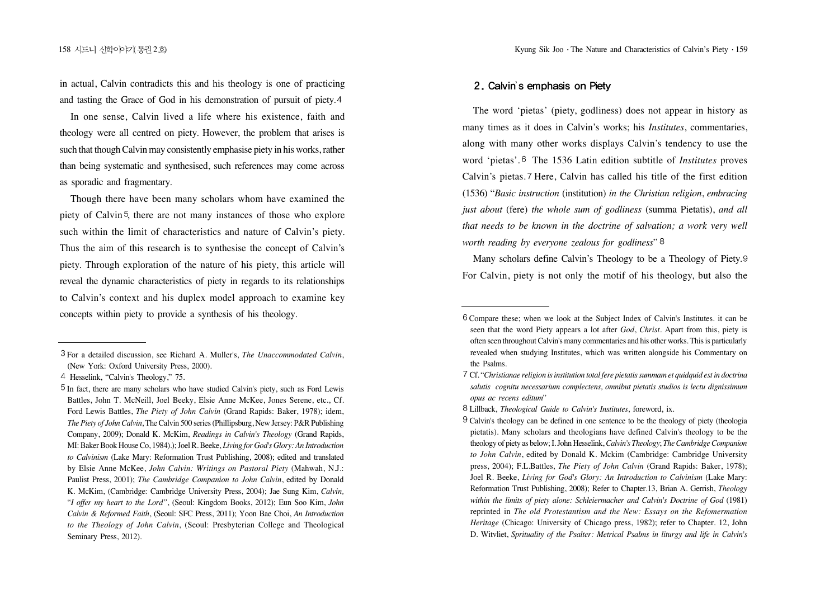in actual, Calvin contradicts this and his theology is one of practicing and tasting the Grace of God in his demonstration of pursuit of piety.

In one sense, Calvin lived a life where his existence, faith and theology were all centred on piety. However, the problem that arises is such that though Calvin may consistently emphasise piety in his works, rather than being systematic and synthesised, such references may come across as sporadic and fragmentary.

Though there have been many scholars whom have examined the piety of Calvin<sup>5</sup>, there are not many instances of those who explore such within the limit of characteristics and nature of Calvin's piety. Thus the aim of this research is to synthesise the concept of Calvin's piety. Through exploration of the nature of his piety, this article will reveal the dynamic characteristics of piety in regards to its relationships to Calvin's context and his duplex model approach to examine key concepts within piety to provide a synthesis of his theology.<br>
Exponent these; when we look at the Subject Index of Calvin's Institutes, it can be

#### '

The word 'pietas' (piety, godliness) does not appear in history as many times as it does in Calvin's works; his *Institutes*, commentaries, along with many other works displays Calvin's tendency to use the word 'pietas'.<sup>6</sup> The 1536 Latin edition subtitle of *Institutes* proves Calvin's pietas. 7 Here, Calvin has called his title of the first edition (1536) "*Basic instruction* (institution) *in the Christian religion*, *embracing just about* (fere) *the whole sum of godliness* (summa Pietatis), *and all that needs to be known in the doctrine of salvation; a work very well worth reading by everyone zealous for godliness*"

Many scholars define Calvin's Theology to be a Theology of Piety. For Calvin, piety is not only the motif of his theology, but also the

For a detailed discussion, see Richard A. Muller's, *The Unaccommodated Calvin*, (New York: Oxford University Press, 2000).

<sup>4</sup> Hesselink, "Calvin's Theology," 75.

In fact, there are many scholars who have studied Calvin's piety, such as Ford Lewis Battles, John T. McNeill, Joel Beeky, Elsie Anne McKee, Jones Serene, etc., Cf. Ford Lewis Battles, *The Piety of John Calvin* (Grand Rapids: Baker, 1978); idem, *The Piety of John Calvin*, The Calvin 500 series (Phillipsburg, New Jersey: P&R Publishing Company, 2009); Donald K. McKim, *Readings in Calvin's Theology* (Grand Rapids, MI: Baker Book House Co, 1984).); Joel R. Beeke, *Living for God's Glory: An Introduction to Calvinism* (Lake Mary: Reformation Trust Publishing, 2008); edited and translated by Elsie Anne McKee, *John Calvin: Writings on Pastoral Piety* (Mahwah, N.J.: Paulist Press, 2001); *The Cambridge Companion to John Calvin*, edited by Donald K. McKim, (Cambridge: Cambridge University Press, 2004); Jae Sung Kim, *Calvin,* "*I offer my heart to the Lord"*, (Seoul: Kingdom Books, 2012); Eun Soo Kim, *John Calvin & Reformed Faith*, (Seoul: SFC Press, 2011); Yoon Bae Choi, *An Introduction to the Theology of John Calvin*, (Seoul: Presbyterian College and Theological Seminary Press, 2012).

seen that the word Piety appears a lot after *God*, *Christ*. Apart from this, piety is often seen throughout Calvin's many commentaries and his other works. This is particularly revealed when studying Institutes, which was written alongside his Commentary on the Psalms.

Cf. "*Christianae religion is institution total fere pietatis summam et quidquid est in doctrina salutis cognitu necessarium complectens, omnibut pietatis studios is lectu dignissimum opus ac recens editum*"

Lillback, *Theological Guide to Calvin's Institutes*, foreword, ix.

Calvin's theology can be defined in one sentence to be the theology of piety (theologia pietatis). Many scholars and theologians have defined Calvin's theology to be the theology of piety as below; I. John Hesselink, *Calvin's Theology*; *The Cambridge Companion to John Calvin*, edited by Donald K. Mckim (Cambridge: Cambridge University press, 2004); F.L.Battles, *The Piety of John Calvin* (Grand Rapids: Baker, 1978); Joel R. Beeke, *Living for God's Glory: An Introduction to Calvinism* (Lake Mary: Reformation Trust Publishing, 2008); Refer to Chapter.13, Brian A. Gerrish, *Theology within the limits of piety alone: Schleiermacher and Calvin's Doctrine of God* (1981) reprinted in *The old Protestantism and the New: Essays on the Refomermation Heritage* (Chicago: University of Chicago press, 1982); refer to Chapter. 12, John D. Witvliet, *Sprituality of the Psalter: Metrical Psalms in liturgy and life in Calvin's*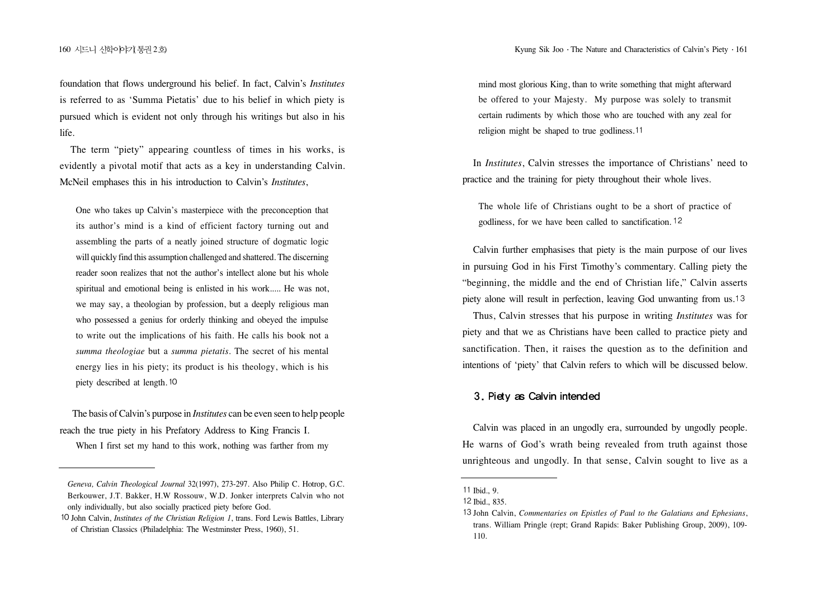160 시드니 신화이야기통권 2회 2회 - The Nature and Characteristics of Calvin's Piety · 161

foundation that flows underground his belief. In fact, Calvin's *Institutes* is referred to as 'Summa Pietatis' due to his belief in which piety is pursued which is evident not only through his writings but also in his life.

The term "piety" appearing countless of times in his works, is evidently a pivotal motif that acts as a key in understanding Calvin. McNeil emphases this in his introduction to Calvin's *Institutes*,

One who takes up Calvin's masterpiece with the preconception that its author's mind is a kind of efficient factory turning out and assembling the parts of a neatly joined structure of dogmatic logic will quickly find this assumption challenged and shattered. The discerning reader soon realizes that not the author's intellect alone but his whole spiritual and emotional being is enlisted in his work..... He was not, we may say, a theologian by profession, but a deeply religious man who possessed a genius for orderly thinking and obeyed the impulse to write out the implications of his faith. He calls his book not a *summa theologiae* but a *summa pietatis*. The secret of his mental energy lies in his piety; its product is his theology, which is his piety described at length.

The basis of Calvin's purpose in *Institutes* can be even seen to help people reach the true piety in his Prefatory Address to King Francis I.

When I first set my hand to this work, nothing was farther from my

mind most glorious King, than to write something that might afterward be offered to your Majesty. My purpose was solely to transmit certain rudiments by which those who are touched with any zeal for religion might be shaped to true godliness.<sup>11</sup>

In *Institutes*, Calvin stresses the importance of Christians' need to practice and the training for piety throughout their whole lives.

The whole life of Christians ought to be a short of practice of godliness, for we have been called to sanctification.

Calvin further emphasises that piety is the main purpose of our lives in pursuing God in his First Timothy's commentary. Calling piety the "beginning, the middle and the end of Christian life," Calvin asserts piety alone will result in perfection, leaving God unwanting from us.

Thus, Calvin stresses that his purpose in writing *Institutes* was for piety and that we as Christians have been called to practice piety and sanctification. Then, it raises the question as to the definition and intentions of 'piety' that Calvin refers to which will be discussed below.

### 3. Piety as Calvin intended

Calvin was placed in an ungodly era, surrounded by ungodly people. He warns of God's wrath being revealed from truth against those unrighteous and ungodly. In that sense, Calvin sought to live as a

*Geneva, Calvin Theological Journal* 32(1997), 273-297. Also Philip C. Hotrop, G.C. Berkouwer, J.T. Bakker, H.W Rossouw, W.D. Jonker interprets Calvin who not only individually, but also socially practiced piety before God.

John Calvin, *Institutes of the Christian Religion 1*, trans. Ford Lewis Battles, Library of Christian Classics (Philadelphia: The Westminster Press, 1960), 51.

Ibid*.*, 9.

<sup>12</sup> Ibid 835

John Calvin, *Commentaries on Epistles of Paul to the Galatians and Ephesians*, trans. William Pringle (rept; Grand Rapids: Baker Publishing Group, 2009), 109- 110.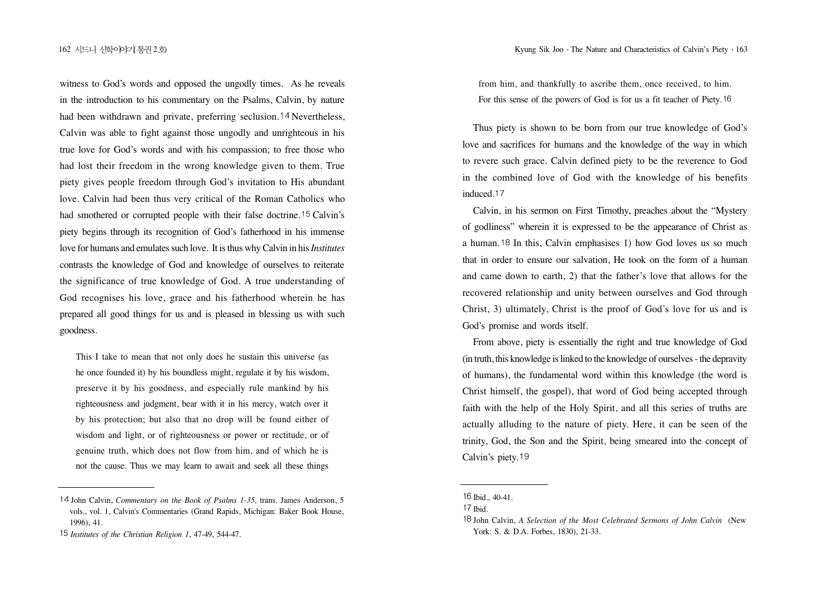witness to God's words and opposed the ungodly times. As he reveals in the introduction to his commentary on the Psalms, Calvin, by nature had been withdrawn and private, preferring seclusion.  $14$  Nevertheless, Calvin was able to fight against those ungodly and unrighteous in his true love for God's words and with his compassion; to free those who had lost their freedom in the wrong knowledge given to them. True piety gives people freedom through God's invitation to His abundant love. Calvin had been thus very critical of the Roman Catholics who had smothered or corrupted people with their false doctrine.<sup>15</sup> Calvin's piety begins through its recognition of God's fatherhood in his immense love for humans and emulates such love. It is thus why Calvin in his *Institutes* contrasts the knowledge of God and knowledge of ourselves to reiterate the significance of true knowledge of God. A true understanding of God recognises his love, grace and his fatherhood wherein he has prepared all good things for us and is pleased in blessing us with such goodness.

This I take to mean that not only does he sustain this universe (as he once founded it) by his boundless might, regulate it by his wisdom, preserve it by his goodness, and especially rule mankind by his righteousness and judgment, bear with it in his mercy, watch over it by his protection; but also that no drop will be found either of wisdom and light, or of righteousness or power or rectitude, or of genuine truth, which does not flow from him, and of which he is not the cause. Thus we may learn to await and seek all these things from him, and thankfully to ascribe them, once received, to him. For this sense of the powers of God is for us a fit teacher of Piety.

Thus piety is shown to be born from our true knowledge of God's love and sacrifices for humans and the knowledge of the way in which to revere such grace. Calvin defined piety to be the reverence to God in the combined love of God with the knowledge of his benefits induced.<sup>17</sup>

Calvin, in his sermon on First Timothy, preaches about the "Mystery of godliness" wherein it is expressed to be the appearance of Christ as a human. <sup>18</sup> In this, Calvin emphasises 1) how God loves us so much that in order to ensure our salvation, He took on the form of a human and came down to earth, 2) that the father's love that allows for the recovered relationship and unity between ourselves and God through Christ, 3) ultimately, Christ is the proof of God's love for us and is God's promise and words itself.

From above, piety is essentially the right and true knowledge of God (in truth, this knowledge is linked to the knowledge of ourselves - the depravity of humans), the fundamental word within this knowledge (the word is Christ himself, the gospel), that word of God being accepted through faith with the help of the Holy Spirit, and all this series of truths are actually alluding to the nature of piety. Here, it can be seen of the trinity, God, the Son and the Spirit, being smeared into the concept of Calvin's piety.<sup>19</sup>

John Calvin, *Commentary on the Book of Psalms 1-35,* trans. James Anderson, 5 vols., vol. 1, Calvin's Commentaries (Grand Rapids, Michigan: Baker Book House, 1996), 41.

*Institutes of the Christian Religion 1*, 47-49, 544-47.

Ibid*.*, 40-41.

Ibid*.*

John Calvin, *A Selection of the Most Celebrated Sermons of John Calvin* (New York: S. & D.A. Forbes, 1830), 21-33.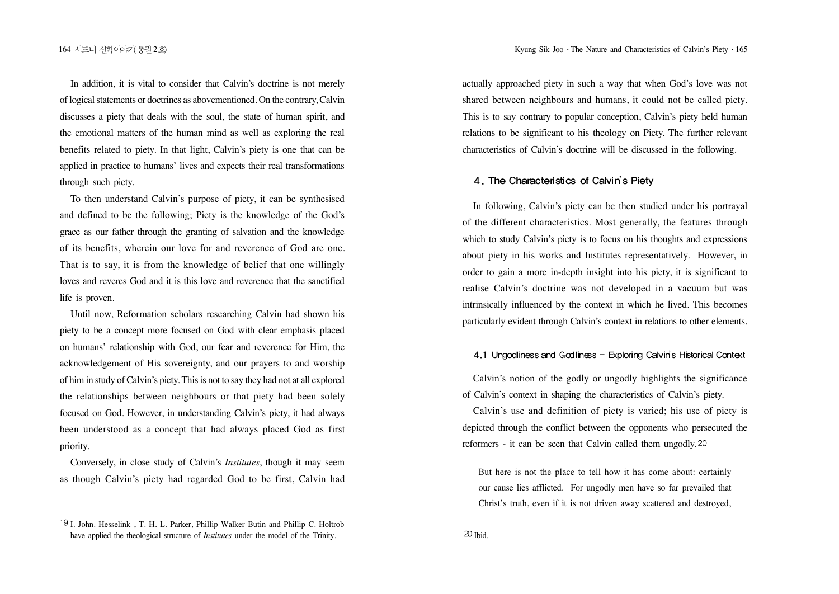In addition, it is vital to consider that Calvin's doctrine is not merely of logical statements or doctrines as abovementioned. On the contrary, Calvin discusses a piety that deals with the soul, the state of human spirit, and the emotional matters of the human mind as well as exploring the real benefits related to piety. In that light, Calvin's piety is one that can be applied in practice to humans' lives and expects their real transformations through such piety.

To then understand Calvin's purpose of piety, it can be synthesised and defined to be the following; Piety is the knowledge of the God's grace as our father through the granting of salvation and the knowledge of its benefits, wherein our love for and reverence of God are one. That is to say, it is from the knowledge of belief that one willingly loves and reveres God and it is this love and reverence that the sanctified life is proven.

Until now, Reformation scholars researching Calvin had shown his piety to be a concept more focused on God with clear emphasis placed on humans' relationship with God, our fear and reverence for Him, the acknowledgement of His sovereignty, and our prayers to and worship of him in study of Calvin's piety. This is not to say they had not at all explored the relationships between neighbours or that piety had been solely focused on God. However, in understanding Calvin's piety, it had always been understood as a concept that had always placed God as first priority.

Conversely, in close study of Calvin's *Institutes*, though it may seem as though Calvin's piety had regarded God to be first, Calvin had actually approached piety in such a way that when God's love was not shared between neighbours and humans, it could not be called piety. This is to say contrary to popular conception, Calvin's piety held human relations to be significant to his theology on Piety. The further relevant characteristics of Calvin's doctrine will be discussed in the following.

#### '

In following, Calvin's piety can be then studied under his portrayal of the different characteristics. Most generally, the features through which to study Calvin's piety is to focus on his thoughts and expressions about piety in his works and Institutes representatively. However, in order to gain a more in-depth insight into his piety, it is significant to realise Calvin's doctrine was not developed in a vacuum but was intrinsically influenced by the context in which he lived. This becomes particularly evident through Calvin's context in relations to other elements.

#### '

Calvin's notion of the godly or ungodly highlights the significance of Calvin's context in shaping the characteristics of Calvin's piety.

Calvin's use and definition of piety is varied; his use of piety is depicted through the conflict between the opponents who persecuted the reformers - it can be seen that Calvin called them ungodly.

But here is not the place to tell how it has come about: certainly our cause lies afflicted. For ungodly men have so far prevailed that Christ's truth, even if it is not driven away scattered and destroyed,

 $20$  Ibid.

I. John. Hesselink , T. H. L. Parker, Phillip Walker Butin and Phillip C. Holtrob have applied the theological structure of *Institutes* under the model of the Trinity.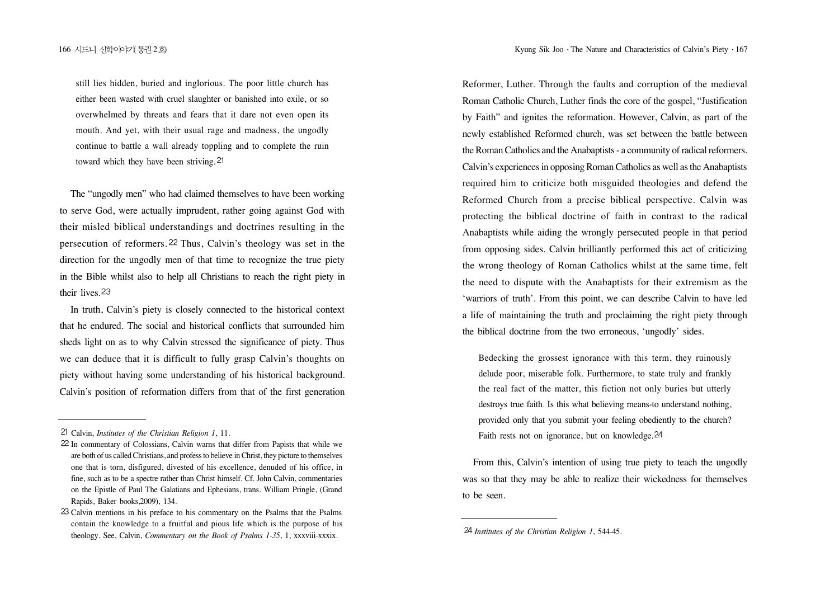still lies hidden, buried and inglorious. The poor little church has either been wasted with cruel slaughter or banished into exile, or so overwhelmed by threats and fears that it dare not even open its mouth. And yet, with their usual rage and madness, the ungodly continue to battle a wall already toppling and to complete the ruin toward which they have been striving.

The "ungodly men" who had claimed themselves to have been working to serve God, were actually imprudent, rather going against God with their misled biblical understandings and doctrines resulting in the persecution of reformers. <sup>22</sup> Thus, Calvin's theology was set in the direction for the ungodly men of that time to recognize the true piety in the Bible whilst also to help all Christians to reach the right piety in their lives.

In truth, Calvin's piety is closely connected to the historical context that he endured. The social and historical conflicts that surrounded him sheds light on as to why Calvin stressed the significance of piety. Thus we can deduce that it is difficult to fully grasp Calvin's thoughts on piety without having some understanding of his historical background. Calvin's position of reformation differs from that of the first generation Reformer, Luther. Through the faults and corruption of the medieval Roman Catholic Church, Luther finds the core of the gospel, "Justification by Faith" and ignites the reformation. However, Calvin, as part of the newly established Reformed church, was set between the battle between the Roman Catholics and the Anabaptists - a community of radical reformers. Calvin's experiences in opposing Roman Catholics as well as the Anabaptists required him to criticize both misguided theologies and defend the Reformed Church from a precise biblical perspective. Calvin was protecting the biblical doctrine of faith in contrast to the radical Anabaptists while aiding the wrongly persecuted people in that period from opposing sides. Calvin brilliantly performed this act of criticizing the wrong theology of Roman Catholics whilst at the same time, felt the need to dispute with the Anabaptists for their extremism as the 'warriors of truth'. From this point, we can describe Calvin to have led a life of maintaining the truth and proclaiming the right piety through the biblical doctrine from the two erroneous, 'ungodly' sides.

Bedecking the grossest ignorance with this term, they ruinously delude poor, miserable folk. Furthermore, to state truly and frankly the real fact of the matter, this fiction not only buries but utterly destroys true faith. Is this what believing means-to understand nothing, provided only that you submit your feeling obediently to the church? Faith rests not on ignorance, but on knowledge.<sup>24</sup>

From this, Calvin's intention of using true piety to teach the ungodly was so that they may be able to realize their wickedness for themselves to be seen.

Calvin, *Institutes of the Christian Religion 1*, 11.

<sup>22</sup> In commentary of Colossians, Calvin warns that differ from Papists that while we are both of us called Christians, and profess to believe in Christ, they picture to themselves one that is torn, disfigured, divested of his excellence, denuded of his office, in fine, such as to be a spectre rather than Christ himself. Cf. John Calvin, commentaries on the Epistle of Paul The Galatians and Ephesians, trans. William Pringle, (Grand Rapids, Baker books,2009), 134.

Calvin mentions in his preface to his commentary on the Psalms that the Psalms contain the knowledge to a fruitful and pious life which is the purpose of his theology. See, Calvin, *Commentary on the Book of Psalms 1-35*, 1, xxxviii-xxxix.

*Institutes of the Christian Religion 1*, 544-45.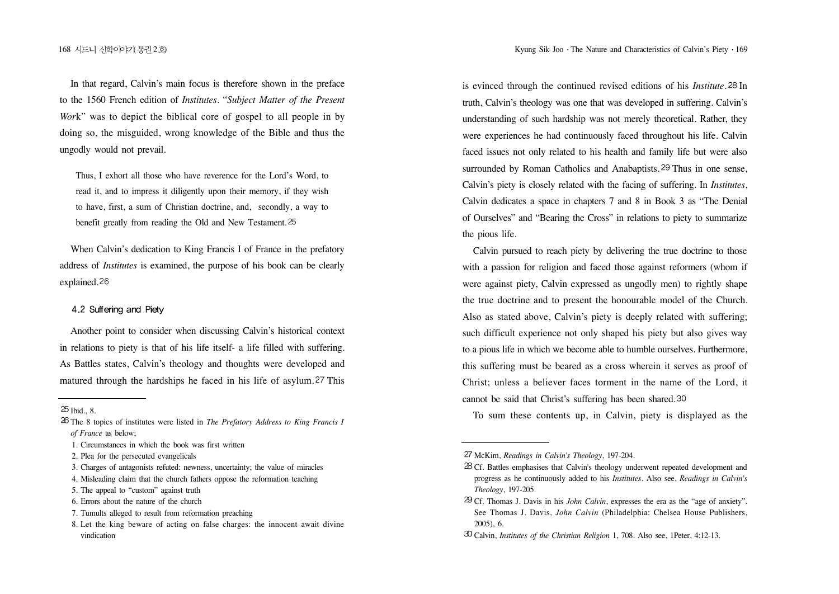In that regard, Calvin's main focus is therefore shown in the preface to the 1560 French edition of *Institutes*. "*Subject Matter of the Present Work*" was to depict the biblical core of gospel to all people in by doing so, the misguided, wrong knowledge of the Bible and thus the ungodly would not prevail.

Thus, I exhort all those who have reverence for the Lord's Word, to read it, and to impress it diligently upon their memory, if they wish to have, first, a sum of Christian doctrine, and, secondly, a way to benefit greatly from reading the Old and New Testament.

When Calvin's dedication to King Francis I of France in the prefatory address of *Institutes* is examined, the purpose of his book can be clearly explained.<sup>26</sup>

#### 4.2 Suffering and Piety

Another point to consider when discussing Calvin's historical context in relations to piety is that of his life itself- a life filled with suffering. As Battles states, Calvin's theology and thoughts were developed and matured through the hardships he faced in his life of asylum.<sup>27</sup> This

- The 8 topics of institutes were listed in *The Prefatory Address to King Francis I of France* as below;
	- 1. Circumstances in which the book was first written
	- 2. Plea for the persecuted evangelicals

- 4. Misleading claim that the church fathers oppose the reformation teaching
- 5. The appeal to "custom" against truth
- 6. Errors about the nature of the church
- 7. Tumults alleged to result from reformation preaching
- 8. Let the king beware of acting on false charges: the innocent await divine vindication

is evinced through the continued revised editions of his *Institute*. 28 In truth, Calvin's theology was one that was developed in suffering. Calvin's understanding of such hardship was not merely theoretical. Rather, they were experiences he had continuously faced throughout his life. Calvin faced issues not only related to his health and family life but were also surrounded by Roman Catholics and Anabaptists. 29 Thus in one sense,

Calvin's piety is closely related with the facing of suffering. In *Institutes*, Calvin dedicates a space in chapters 7 and 8 in Book 3 as "The Denial of Ourselves" and "Bearing the Cross" in relations to piety to summarize the pious life.

Calvin pursued to reach piety by delivering the true doctrine to those with a passion for religion and faced those against reformers (whom if were against piety, Calvin expressed as ungodly men) to rightly shape the true doctrine and to present the honourable model of the Church. Also as stated above, Calvin's piety is deeply related with suffering; such difficult experience not only shaped his piety but also gives way to a pious life in which we become able to humble ourselves. Furthermore, this suffering must be beared as a cross wherein it serves as proof of Christ; unless a believer faces torment in the name of the Lord, it cannot be said that Christ's suffering has been shared.

To sum these contents up, in Calvin, piety is displayed as the

 $25$  Ibid., 8.

<sup>3.</sup> Charges of antagonists refuted: newness, uncertainty; the value of miracles

McKim, *Readings in Calvin's Theology*, 197-204.

Cf. Battles emphasises that Calvin's theology underwent repeated development and progress as he continuously added to his *Institutes*. Also see, *Readings in Calvin's Theology*, 197-205.

Cf. Thomas J. Davis in his *John Calvin*, expresses the era as the "age of anxiety". See Thomas J. Davis, *John Calvin* (Philadelphia: Chelsea House Publishers, 2005), 6.

Calvin, *Institutes of the Christian Religion* 1, 708. Also see, 1Peter, 4:12-13.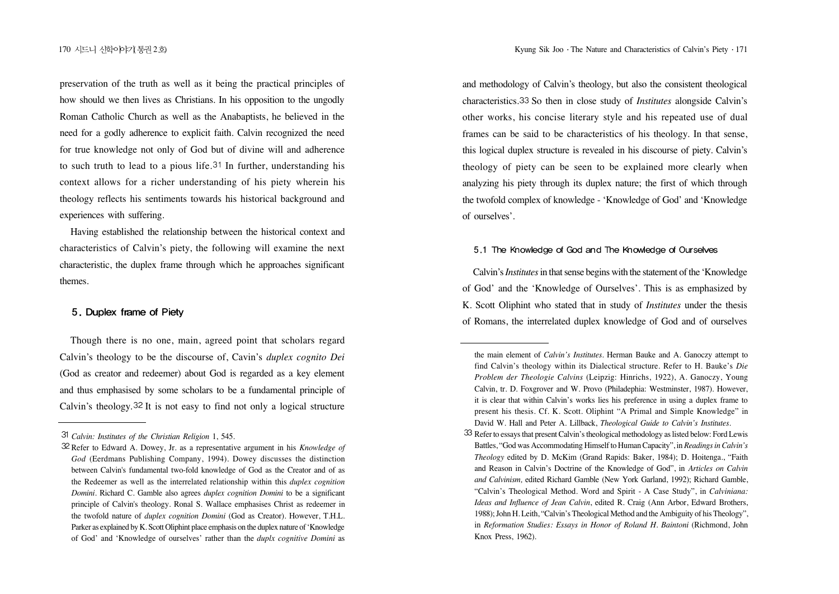preservation of the truth as well as it being the practical principles of how should we then lives as Christians. In his opposition to the ungodly Roman Catholic Church as well as the Anabaptists, he believed in the need for a godly adherence to explicit faith. Calvin recognized the need for true knowledge not only of God but of divine will and adherence to such truth to lead to a pious life.<sup>31</sup> In further, understanding his context allows for a richer understanding of his piety wherein his theology reflects his sentiments towards his historical background and experiences with suffering.

Having established the relationship between the historical context and characteristics of Calvin's piety, the following will examine the next characteristic, the duplex frame through which he approaches significant themes.

#### 5. Duplex frame of Piety

Though there is no one, main, agreed point that scholars regard Calvin's theology to be the discourse of, Cavin's *duplex cognito Dei* (God as creator and redeemer) about God is regarded as a key element and thus emphasised by some scholars to be a fundamental principle of Calvin's theology.  $32$  It is not easy to find not only a logical structure and methodology of Calvin's theology, but also the consistent theological characteristics. So then in close study of *Institutes* alongside Calvin's other works, his concise literary style and his repeated use of dual frames can be said to be characteristics of his theology. In that sense, this logical duplex structure is revealed in his discourse of piety. Calvin's theology of piety can be seen to be explained more clearly when analyzing his piety through its duplex nature; the first of which through the twofold complex of knowledge - 'Knowledge of God' and 'Knowledge of ourselves'.

### 5.1 The Knowledge of God and The Knowledge of Ourselves

Calvin's *Institutes*in that sense begins with the statement of the 'Knowledge of God' and the 'Knowledge of Ourselves'. This is as emphasized by K. Scott Oliphint who stated that in study of *Institutes* under the thesis of Romans, the interrelated duplex knowledge of God and of ourselves

*Calvin: Institutes of the Christian Religion* 1, 545.

Refer to Edward A. Dowey, Jr. as a representative argument in his *Knowledge of God* (Eerdmans Publishing Company, 1994). Dowey discusses the distinction between Calvin's fundamental two-fold knowledge of God as the Creator and of as the Redeemer as well as the interrelated relationship within this *duplex cognition Domini*. Richard C. Gamble also agrees *duplex cognition Domini* to be a significant principle of Calvin's theology. Ronal S. Wallace emphasises Christ as redeemer in the twofold nature of *duplex cognition Domini* (God as Creator). However, T.H.L. Parker as explained by K. Scott Oliphint place emphasis on the duplex nature of 'Knowledge of God' and 'Knowledge of ourselves' rather than the *duplx cognitive Domini* as

the main element of *Calvin's Institutes*. Herman Bauke and A. Ganoczy attempt to find Calvin's theology within its Dialectical structure. Refer to H. Bauke's *Die Problem der Theologie Calvins* (Leipzig: Hinrichs, 1922), A. Ganoczy, Young Calvin, tr. D. Foxgrover and W. Provo (Philadephia: Westminster, 1987). However, it is clear that within Calvin's works lies his preference in using a duplex frame to present his thesis. Cf. K. Scott. Oliphint "A Primal and Simple Knowledge" in David W. Hall and Peter A. Lillback, *Theological Guide to Calvin's Institutes*.

<sup>33</sup> Refer to essays that present Calvin's theological methodology as listed below: Ford Lewis Battles, "God was Accommodating Himself to Human Capacity", in *Readings in Calvin's Theology* edited by D. McKim (Grand Rapids: Baker, 1984); D. Hoitenga., "Faith and Reason in Calvin's Doctrine of the Knowledge of God", in *Articles on Calvin and Calvinism,* edited Richard Gamble (New York Garland, 1992); Richard Gamble, "Calvin's Theological Method. Word and Spirit - A Case Study", in *Calviniana: Ideas and Influence of Jean Calvin*, edited R. Craig (Ann Arbor, Edward Brothers, 1988); John H. Leith, "Calvin's Theological Method and the Ambiguity of his Theology", in *Reformation Studies: Essays in Honor of Roland H. Baintoni* (Richmond, John Knox Press, 1962).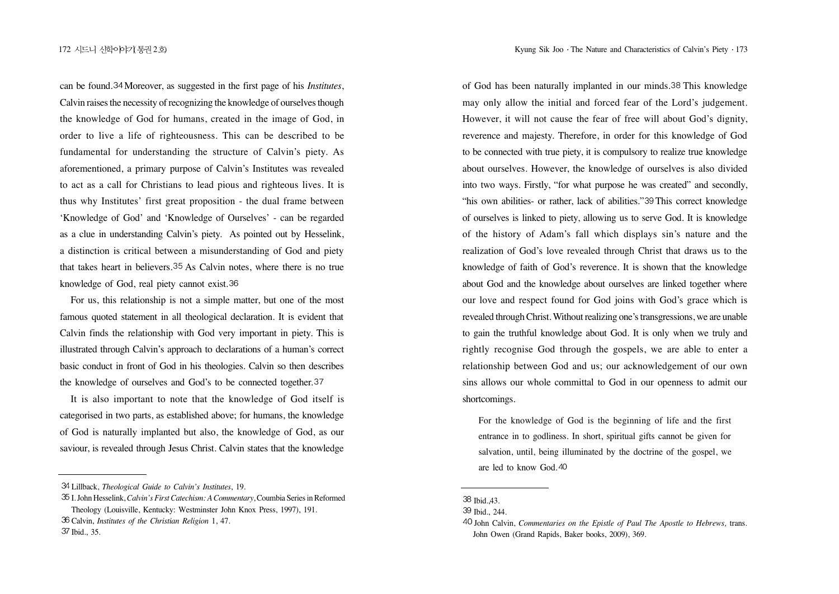can be found. 34 Moreover, as suggested in the first page of his *Institutes*, Calvin raises the necessity of recognizing the knowledge of ourselves though the knowledge of God for humans, created in the image of God, in order to live a life of righteousness. This can be described to be fundamental for understanding the structure of Calvin's piety. As aforementioned, a primary purpose of Calvin's Institutes was revealed to act as a call for Christians to lead pious and righteous lives. It is thus why Institutes' first great proposition - the dual frame between 'Knowledge of God' and 'Knowledge of Ourselves' - can be regarded as a clue in understanding Calvin's piety. As pointed out by Hesselink, a distinction is critical between a misunderstanding of God and piety that takes heart in believers. 35 As Calvin notes, where there is no true knowledge of God, real piety cannot exist.

For us, this relationship is not a simple matter, but one of the most famous quoted statement in all theological declaration. It is evident that Calvin finds the relationship with God very important in piety. This is illustrated through Calvin's approach to declarations of a human's correct basic conduct in front of God in his theologies. Calvin so then describes the knowledge of ourselves and God's to be connected together.

It is also important to note that the knowledge of God itself is categorised in two parts, as established above; for humans, the knowledge of God is naturally implanted but also, the knowledge of God, as our saviour, is revealed through Jesus Christ. Calvin states that the knowledge

of God has been naturally implanted in our minds. 38 This knowledge may only allow the initial and forced fear of the Lord's judgement. However, it will not cause the fear of free will about God's dignity, reverence and majesty. Therefore, in order for this knowledge of God to be connected with true piety, it is compulsory to realize true knowledge about ourselves. However, the knowledge of ourselves is also divided into two ways. Firstly, "for what purpose he was created" and secondly, "his own abilities- or rather, lack of abilities." 39 This correct knowledge of ourselves is linked to piety, allowing us to serve God. It is knowledge of the history of Adam's fall which displays sin's nature and the realization of God's love revealed through Christ that draws us to the knowledge of faith of God's reverence. It is shown that the knowledge about God and the knowledge about ourselves are linked together where our love and respect found for God joins with God's grace which is revealed through Christ. Without realizing one's transgressions, we are unable to gain the truthful knowledge about God. It is only when we truly and rightly recognise God through the gospels, we are able to enter a relationship between God and us; our acknowledgement of our own sins allows our whole committal to God in our openness to admit our shortcomings.

For the knowledge of God is the beginning of life and the first entrance in to godliness. In short, spiritual gifts cannot be given for salvation, until, being illuminated by the doctrine of the gospel, we are led to know God.

Lillback, *Theological Guide to Calvin's Institutes*, 19.

I. John Hesselink, *Calvin's First Catechism: A Commentary*, Coumbia Series in Reformed Theology (Louisville, Kentucky: Westminster John Knox Press, 1997), 191.

Calvin, *Institutes of the Christian Religion* 1, 47. 37 Ibid., 35.

<sup>38</sup> Ibid. 43.

<sup>39</sup> Ibid., 244.

John Calvin, *Commentaries on the Epistle of Paul The Apostle to Hebrews,* trans. John Owen (Grand Rapids, Baker books, 2009), 369.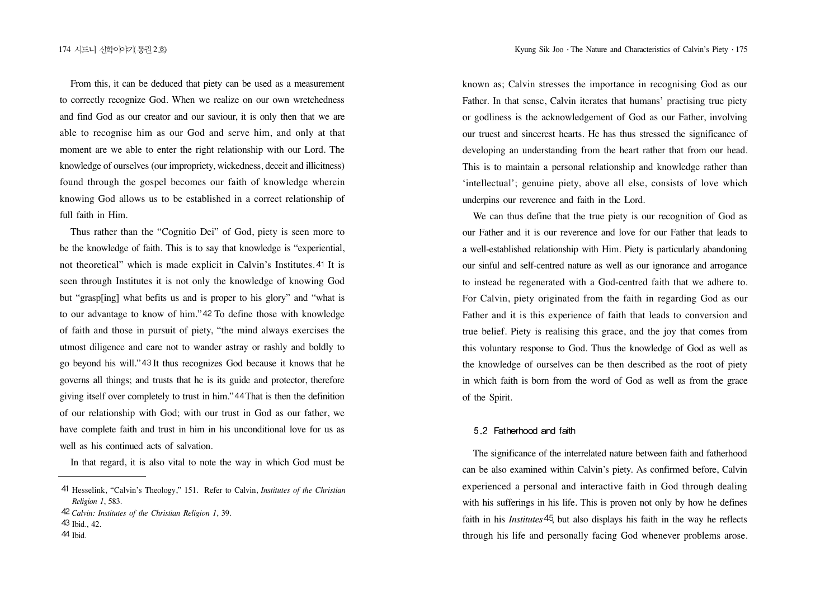From this, it can be deduced that piety can be used as a measurement to correctly recognize God. When we realize on our own wretchedness and find God as our creator and our saviour, it is only then that we are able to recognise him as our God and serve him, and only at that moment are we able to enter the right relationship with our Lord. The knowledge of ourselves (our impropriety, wickedness, deceit and illicitness) found through the gospel becomes our faith of knowledge wherein knowing God allows us to be established in a correct relationship of full faith in Him.

Thus rather than the "Cognitio Dei" of God, piety is seen more to be the knowledge of faith. This is to say that knowledge is "experiential, not theoretical" which is made explicit in Calvin's Institutes. 41 It is seen through Institutes it is not only the knowledge of knowing God but "grasp[ing] what befits us and is proper to his glory" and "what is to our advantage to know of him." 42 To define those with knowledge of faith and those in pursuit of piety, "the mind always exercises the utmost diligence and care not to wander astray or rashly and boldly to go beyond his will." 43 It thus recognizes God because it knows that he governs all things; and trusts that he is its guide and protector, therefore giving itself over completely to trust in him." 44 That is then the definition of our relationship with God; with our trust in God as our father, we have complete faith and trust in him in his unconditional love for us as well as his continued acts of salvation.

In that regard, it is also vital to note the way in which God must be

known as; Calvin stresses the importance in recognising God as our Father. In that sense, Calvin iterates that humans' practising true piety or godliness is the acknowledgement of God as our Father, involving our truest and sincerest hearts. He has thus stressed the significance of developing an understanding from the heart rather that from our head. This is to maintain a personal relationship and knowledge rather than 'intellectual'; genuine piety, above all else, consists of love which underpins our reverence and faith in the Lord.

We can thus define that the true piety is our recognition of God as our Father and it is our reverence and love for our Father that leads to a well-established relationship with Him. Piety is particularly abandoning our sinful and self-centred nature as well as our ignorance and arrogance to instead be regenerated with a God-centred faith that we adhere to. For Calvin, piety originated from the faith in regarding God as our Father and it is this experience of faith that leads to conversion and true belief. Piety is realising this grace, and the joy that comes from this voluntary response to God. Thus the knowledge of God as well as the knowledge of ourselves can be then described as the root of piety in which faith is born from the word of God as well as from the grace of the Spirit.

## 5.2 Fatherhood and faith

The significance of the interrelated nature between faith and fatherhood can be also examined within Calvin's piety. As confirmed before, Calvin experienced a personal and interactive faith in God through dealing with his sufferings in his life. This is proven not only by how he defines faith in his *Institutes* <sup>45</sup>, but also displays his faith in the way he reflects through his life and personally facing God whenever problems arose.

Hesselink, "Calvin's Theology," 151. Refer to Calvin, *Institutes of the Christian Religion 1*, 583.

*Calvin: Institutes of the Christian Religion 1*, 39. 43 Ibid., 42.

 $44$  Ihid.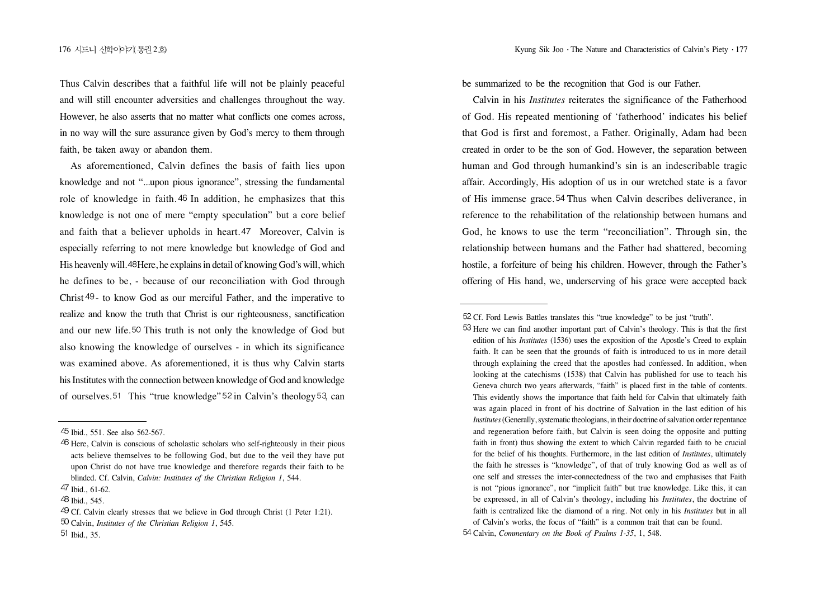Thus Calvin describes that a faithful life will not be plainly peaceful and will still encounter adversities and challenges throughout the way. However, he also asserts that no matter what conflicts one comes across, in no way will the sure assurance given by God's mercy to them through faith, be taken away or abandon them.

As aforementioned, Calvin defines the basis of faith lies upon knowledge and not "...upon pious ignorance", stressing the fundamental role of knowledge in faith. 46 In addition, he emphasizes that this knowledge is not one of mere "empty speculation" but a core belief and faith that a believer upholds in heart. 47 Moreover, Calvin is especially referring to not mere knowledge but knowledge of God and His heavenly will. 48 Here, he explains in detail of knowing God's will, which he defines to be, - because of our reconciliation with God through Christ  $49$ - to know God as our merciful Father, and the imperative to realize and know the truth that Christ is our righteousness, sanctification and our new life.<sup>50</sup> This truth is not only the knowledge of God but also knowing the knowledge of ourselves - in which its significance was examined above. As aforementioned, it is thus why Calvin starts his Institutes with the connection between knowledge of God and knowledge of ourselves. 51 This "true knowledge"  $52$  in Calvin's theology  $53$ , can

be summarized to be the recognition that God is our Father.

Calvin in his *Institutes* reiterates the significance of the Fatherhood of God. His repeated mentioning of 'fatherhood' indicates his belief that God is first and foremost, a Father. Originally, Adam had been created in order to be the son of God. However, the separation between human and God through humankind's sin is an indescribable tragic affair. Accordingly, His adoption of us in our wretched state is a favor of His immense grace.<sup>54</sup> Thus when Calvin describes deliverance, in reference to the rehabilitation of the relationship between humans and God, he knows to use the term "reconciliation". Through sin, the relationship between humans and the Father had shattered, becoming hostile, a forfeiture of being his children. However, through the Father's offering of His hand, we, underserving of his grace were accepted back

Ibid., 551. See also 562-567.

Here, Calvin is conscious of scholastic scholars who self-righteously in their pious acts believe themselves to be following God, but due to the veil they have put upon Christ do not have true knowledge and therefore regards their faith to be blinded. Cf. Calvin, *Calvin: Institutes of the Christian Religion 1*, 544.

<sup>47</sup> Ibid., 61-62.

<sup>48</sup> Ibid., 545.

<sup>49</sup> Cf. Calvin clearly stresses that we believe in God through Christ (1 Peter 1:21).

Calvin, *Institutes of the Christian Religion 1*, 545.

<sup>51</sup> Ibid., 35.

Cf. Ford Lewis Battles translates this "true knowledge" to be just "truth".

<sup>53</sup> Here we can find another important part of Calvin's theology. This is that the first edition of his *Institutes* (1536) uses the exposition of the Apostle's Creed to explain faith. It can be seen that the grounds of faith is introduced to us in more detail through explaining the creed that the apostles had confessed. In addition, when looking at the catechisms (1538) that Calvin has published for use to teach his Geneva church two years afterwards, "faith" is placed first in the table of contents. This evidently shows the importance that faith held for Calvin that ultimately faith was again placed in front of his doctrine of Salvation in the last edition of his *Institutes*(Generally, systematic theologians, in their doctrine of salvation order repentance and regeneration before faith, but Calvin is seen doing the opposite and putting faith in front) thus showing the extent to which Calvin regarded faith to be crucial for the belief of his thoughts. Furthermore, in the last edition of *Institutes*, ultimately the faith he stresses is "knowledge", of that of truly knowing God as well as of one self and stresses the inter-connectedness of the two and emphasises that Faith is not "pious ignorance", nor "implicit faith" but true knowledge. Like this, it can be expressed, in all of Calvin's theology, including his *Institutes*, the doctrine of faith is centralized like the diamond of a ring. Not only in his *Institutes* but in all of Calvin's works, the focus of "faith" is a common trait that can be found.

Calvin, *Commentary on the Book of Psalms 1-35*, 1, 548.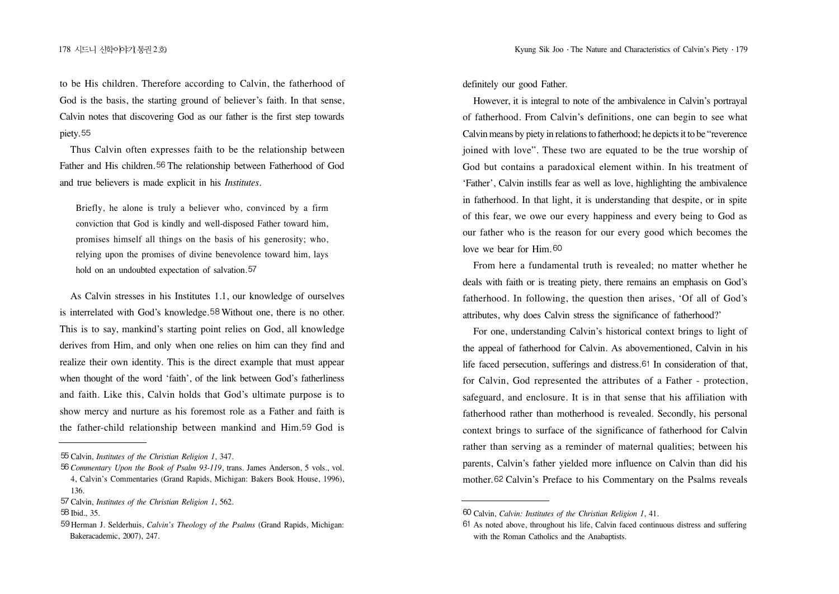to be His children. Therefore according to Calvin, the fatherhood of God is the basis, the starting ground of believer's faith. In that sense, Calvin notes that discovering God as our father is the first step towards piety.<sup>55</sup>

Thus Calvin often expresses faith to be the relationship between Father and His children.<sup>56</sup> The relationship between Fatherhood of God and true believers is made explicit in his *Institutes*.

Briefly, he alone is truly a believer who, convinced by a firm conviction that God is kindly and well-disposed Father toward him, promises himself all things on the basis of his generosity; who, relying upon the promises of divine benevolence toward him, lays hold on an undoubted expectation of salvation.<sup>57</sup>

As Calvin stresses in his Institutes 1.1, our knowledge of ourselves is interrelated with God's knowledge.<sup>58</sup> Without one, there is no other. This is to say, mankind's starting point relies on God, all knowledge derives from Him, and only when one relies on him can they find and realize their own identity. This is the direct example that must appear when thought of the word 'faith', of the link between God's fatherliness and faith. Like this, Calvin holds that God's ultimate purpose is to show mercy and nurture as his foremost role as a Father and faith is the father-child relationship between mankind and Him. 59 God is definitely our good Father.

However, it is integral to note of the ambivalence in Calvin's portrayal of fatherhood. From Calvin's definitions, one can begin to see what Calvin means by piety in relations to fatherhood; he depicts it to be "reverence joined with love". These two are equated to be the true worship of God but contains a paradoxical element within. In his treatment of 'Father', Calvin instills fear as well as love, highlighting the ambivalence in fatherhood. In that light, it is understanding that despite, or in spite of this fear, we owe our every happiness and every being to God as our father who is the reason for our every good which becomes the love we bear for Him. 60

From here a fundamental truth is revealed; no matter whether he deals with faith or is treating piety, there remains an emphasis on God's fatherhood. In following, the question then arises, 'Of all of God's attributes, why does Calvin stress the significance of fatherhood?'

For one, understanding Calvin's historical context brings to light of the appeal of fatherhood for Calvin. As abovementioned, Calvin in his life faced persecution, sufferings and distress.  $61$  In consideration of that, for Calvin, God represented the attributes of a Father - protection, safeguard, and enclosure. It is in that sense that his affiliation with fatherhood rather than motherhood is revealed. Secondly, his personal context brings to surface of the significance of fatherhood for Calvin rather than serving as a reminder of maternal qualities; between his parents, Calvin's father yielded more influence on Calvin than did his mother. 62 Calvin's Preface to his Commentary on the Psalms reveals

Calvin, *Institutes of the Christian Religion 1*, 347.

*Commentary Upon the Book of Psalm 93-119*, trans. James Anderson, 5 vols., vol. 4, Calvin's Commentaries (Grand Rapids, Michigan: Bakers Book House, 1996), 136.

Calvin, *Institutes of the Christian Religion 1*, 562.

<sup>58</sup> Ibid., 35.

Herman J. Selderhuis, *Calvin's Theology of the Psalms* (Grand Rapids, Michigan: Bakeracademic, 2007), 247.

Calvin, *Calvin: Institutes of the Christian Religion 1*, 41.

As noted above, throughout his life, Calvin faced continuous distress and suffering with the Roman Catholics and the Anabaptists.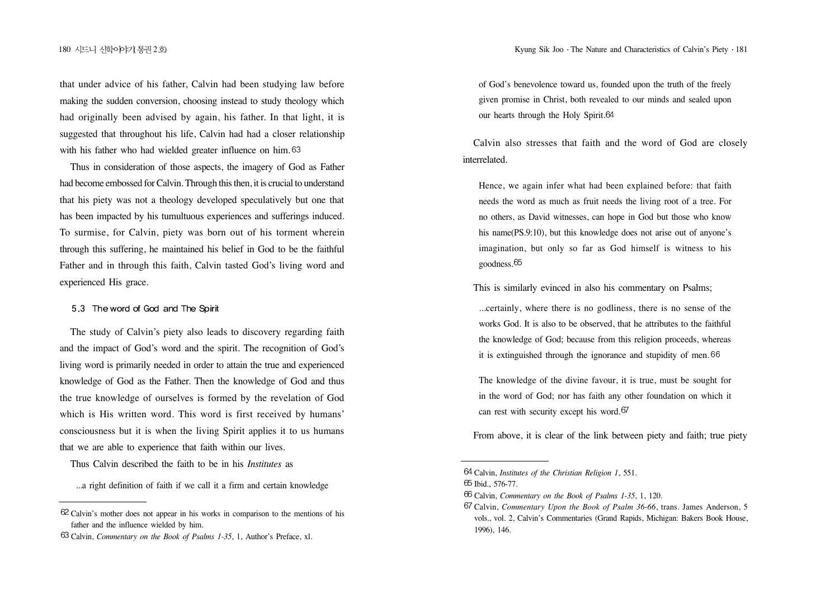that under advice of his father, Calvin had been studying law before making the sudden conversion, choosing instead to study theology which had originally been advised by again, his father. In that light, it is suggested that throughout his life, Calvin had had a closer relationship with his father who had wielded greater influence on him. 63

Thus in consideration of those aspects, the imagery of God as Father had become embossed for Calvin. Through this then, it is crucial to understand that his piety was not a theology developed speculatively but one that has been impacted by his tumultuous experiences and sufferings induced. To surmise, for Calvin, piety was born out of his torment wherein through this suffering, he maintained his belief in God to be the faithful Father and in through this faith, Calvin tasted God's living word and experienced His grace.

#### 5.3 The word of God and The Spirit

The study of Calvin's piety also leads to discovery regarding faith and the impact of God's word and the spirit. The recognition of God's living word is primarily needed in order to attain the true and experienced knowledge of God as the Father. Then the knowledge of God and thus the true knowledge of ourselves is formed by the revelation of God which is His written word. This word is first received by humans' consciousness but it is when the living Spirit applies it to us humans that we are able to experience that faith within our lives.

Thus Calvin described the faith to be in his *Institutes* as

...a right definition of faith if we call it a firm and certain knowledge

of God's benevolence toward us, founded upon the truth of the freely given promise in Christ, both revealed to our minds and sealed upon our hearts through the Holy Spirit.

Calvin also stresses that faith and the word of God are closely interrelated.

Hence, we again infer what had been explained before: that faith needs the word as much as fruit needs the living root of a tree. For no others, as David witnesses, can hope in God but those who know his name(PS.9:10), but this knowledge does not arise out of anyone's imagination, but only so far as God himself is witness to his goodness.<sup>65</sup>

This is similarly evinced in also his commentary on Psalms;

...certainly, where there is no godliness, there is no sense of the works God. It is also to be observed, that he attributes to the faithful the knowledge of God; because from this religion proceeds, whereas it is extinguished through the ignorance and stupidity of men.

The knowledge of the divine favour, it is true, must be sought for in the word of God; nor has faith any other foundation on which it can rest with security except his word.

From above, it is clear of the link between piety and faith; true piety

Calvin's mother does not appear in his works in comparison to the mentions of his father and the influence wielded by him.

Calvin, *Commentary on the Book of Psalms 1-35*, 1, Author's Preface, xl.

Calvin, *Institutes of the Christian Religion 1*, 551.

<sup>65</sup> Ibid., 576-77.

Calvin, *Commentary on the Book of Psalms 1-35*, 1, 120.

Calvin, *Commentary Upon the Book of Psalm 36-66*, trans. James Anderson, 5 vols., vol. 2, Calvin's Commentaries (Grand Rapids, Michigan: Bakers Book House, 1996), 146.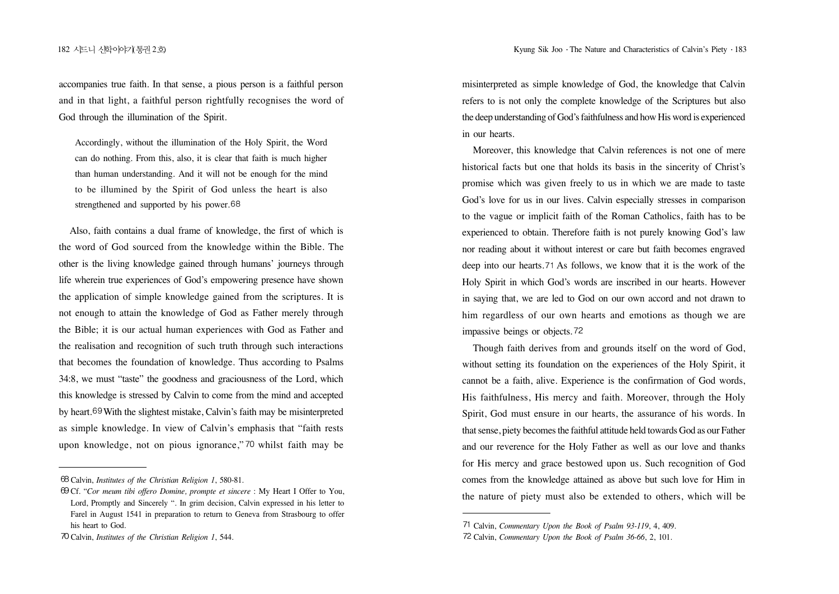accompanies true faith. In that sense, a pious person is a faithful person and in that light, a faithful person rightfully recognises the word of God through the illumination of the Spirit.

Accordingly, without the illumination of the Holy Spirit, the Word can do nothing. From this, also, it is clear that faith is much higher than human understanding. And it will not be enough for the mind to be illumined by the Spirit of God unless the heart is also strengthened and supported by his power.<sup>68</sup>

Also, faith contains a dual frame of knowledge, the first of which is the word of God sourced from the knowledge within the Bible. The other is the living knowledge gained through humans' journeys through life wherein true experiences of God's empowering presence have shown the application of simple knowledge gained from the scriptures. It is not enough to attain the knowledge of God as Father merely through the Bible; it is our actual human experiences with God as Father and the realisation and recognition of such truth through such interactions that becomes the foundation of knowledge. Thus according to Psalms 34:8, we must "taste" the goodness and graciousness of the Lord, which this knowledge is stressed by Calvin to come from the mind and accepted by heart.<sup>69</sup> With the slightest mistake, Calvin's faith may be misinterpreted as simple knowledge. In view of Calvin's emphasis that "faith rests upon knowledge, not on pious ignorance," 70 whilst faith may be

misinterpreted as simple knowledge of God, the knowledge that Calvin refers to is not only the complete knowledge of the Scriptures but also the deep understanding of God's faithfulness and how His word is experienced in our hearts.

Moreover, this knowledge that Calvin references is not one of mere historical facts but one that holds its basis in the sincerity of Christ's promise which was given freely to us in which we are made to taste God's love for us in our lives. Calvin especially stresses in comparison to the vague or implicit faith of the Roman Catholics, faith has to be experienced to obtain. Therefore faith is not purely knowing God's law nor reading about it without interest or care but faith becomes engraved deep into our hearts.  $71$  As follows, we know that it is the work of the Holy Spirit in which God's words are inscribed in our hearts. However in saying that, we are led to God on our own accord and not drawn to him regardless of our own hearts and emotions as though we are impassive beings or objects.

Though faith derives from and grounds itself on the word of God, without setting its foundation on the experiences of the Holy Spirit, it cannot be a faith, alive. Experience is the confirmation of God words, His faithfulness, His mercy and faith. Moreover, through the Holy Spirit, God must ensure in our hearts, the assurance of his words. In that sense, piety becomes the faithful attitude held towards God as our Father and our reverence for the Holy Father as well as our love and thanks for His mercy and grace bestowed upon us. Such recognition of God comes from the knowledge attained as above but such love for Him in the nature of piety must also be extended to others, which will be

Calvin, *Institutes of the Christian Religion 1*, 580-81.

Cf. "*Cor meum tibi offero Domine, prompte et sincere* : My Heart I Offer to You, Lord, Promptly and Sincerely ". In grim decision, Calvin expressed in his letter to Farel in August 1541 in preparation to return to Geneva from Strasbourg to offer his heart to God.

Calvin, *Institutes of the Christian Religion 1*, 544.

Calvin, *Commentary Upon the Book of Psalm 93-119*, 4, 409.

Calvin, *Commentary Upon the Book of Psalm 36-66*, 2, 101.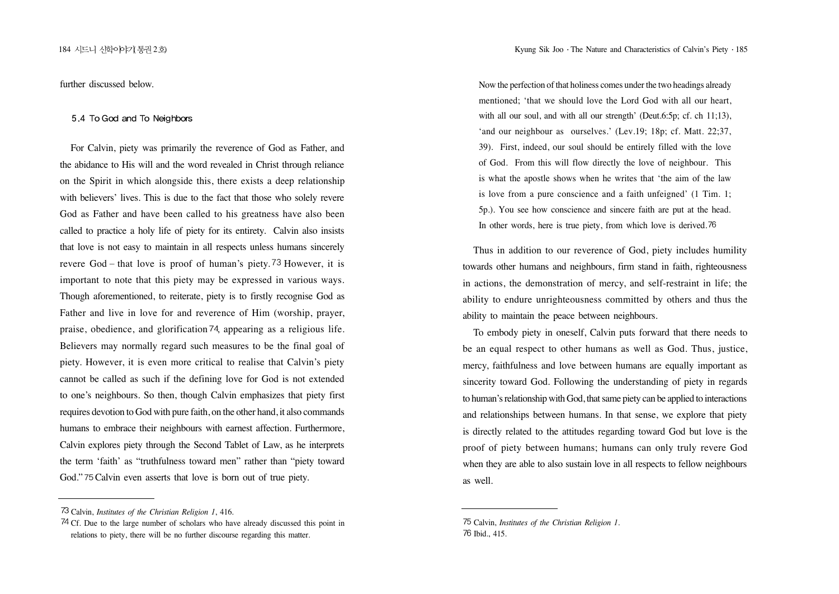further discussed below.

#### 5.4 To God and To Neighbors

For Calvin, piety was primarily the reverence of God as Father, and the abidance to His will and the word revealed in Christ through reliance on the Spirit in which alongside this, there exists a deep relationship with believers' lives. This is due to the fact that those who solely revere God as Father and have been called to his greatness have also been called to practice a holy life of piety for its entirety. Calvin also insists that love is not easy to maintain in all respects unless humans sincerely revere God – that love is proof of human's piety. 73 However, it is important to note that this piety may be expressed in various ways. Though aforementioned, to reiterate, piety is to firstly recognise God as Father and live in love for and reverence of Him (worship, prayer, praise, obedience, and glorification  $74$ , appearing as a religious life. Believers may normally regard such measures to be the final goal of piety. However, it is even more critical to realise that Calvin's piety cannot be called as such if the defining love for God is not extended to one's neighbours. So then, though Calvin emphasizes that piety first requires devotion to God with pure faith, on the other hand, it also commands humans to embrace their neighbours with earnest affection. Furthermore, Calvin explores piety through the Second Tablet of Law, as he interprets the term 'faith' as "truthfulness toward men" rather than "piety toward God." 75 Calvin even asserts that love is born out of true piety.

Now the perfection of that holiness comes under the two headings already mentioned; 'that we should love the Lord God with all our heart, with all our soul, and with all our strength' (Deut.6:5p; cf. ch 11:13), 'and our neighbour as ourselves.' (Lev.19; 18p; cf. Matt. 22;37, 39). First, indeed, our soul should be entirely filled with the love of God. From this will flow directly the love of neighbour. This is what the apostle shows when he writes that 'the aim of the law is love from a pure conscience and a faith unfeigned' (1 Tim. 1; 5p.). You see how conscience and sincere faith are put at the head. In other words, here is true piety, from which love is derived.<sup>76</sup>

Thus in addition to our reverence of God, piety includes humility towards other humans and neighbours, firm stand in faith, righteousness in actions, the demonstration of mercy, and self-restraint in life; the ability to endure unrighteousness committed by others and thus the ability to maintain the peace between neighbours.

To embody piety in oneself, Calvin puts forward that there needs to be an equal respect to other humans as well as God. Thus, justice, mercy, faithfulness and love between humans are equally important as sincerity toward God. Following the understanding of piety in regards to human's relationship with God, that same piety can be applied to interactions and relationships between humans. In that sense, we explore that piety is directly related to the attitudes regarding toward God but love is the proof of piety between humans; humans can only truly revere God when they are able to also sustain love in all respects to fellow neighbours as well.

Calvin, *Institutes of the Christian Religion 1*, 416.

<sup>&</sup>lt;sup>74</sup> Cf. Due to the large number of scholars who have already discussed this point in relations to piety, there will be no further discourse regarding this matter.

Calvin, *Institutes of the Christian Religion 1*. 76 Ibid., 415.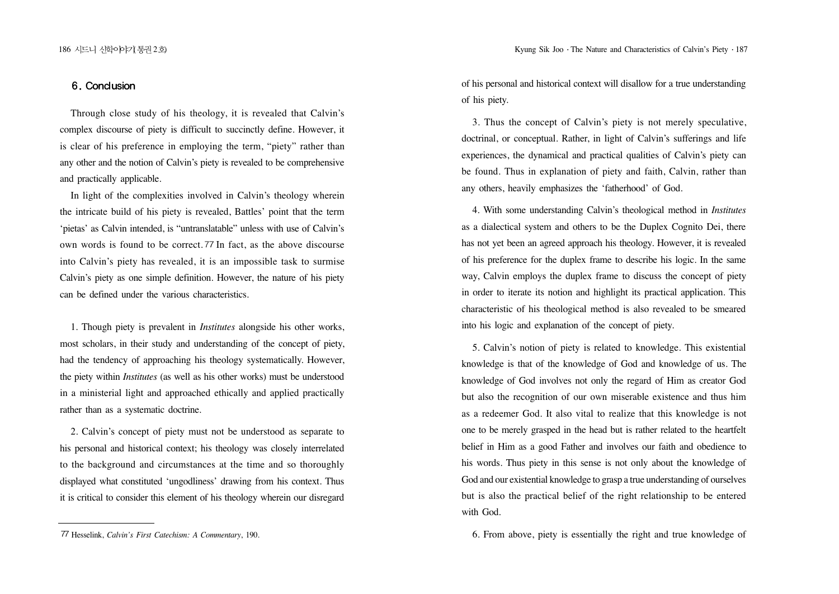## 6. Conclusion

Through close study of his theology, it is revealed that Calvin's complex discourse of piety is difficult to succinctly define. However, it is clear of his preference in employing the term, "piety" rather than any other and the notion of Calvin's piety is revealed to be comprehensive and practically applicable.

In light of the complexities involved in Calvin's theology wherein the intricate build of his piety is revealed, Battles' point that the term 'pietas' as Calvin intended, is "untranslatable" unless with use of Calvin's own words is found to be correct. 77 In fact, as the above discourse into Calvin's piety has revealed, it is an impossible task to surmise Calvin's piety as one simple definition. However, the nature of his piety can be defined under the various characteristics.

1. Though piety is prevalent in *Institutes* alongside his other works, most scholars, in their study and understanding of the concept of piety, had the tendency of approaching his theology systematically. However, the piety within *Institutes* (as well as his other works) must be understood in a ministerial light and approached ethically and applied practically rather than as a systematic doctrine.

2. Calvin's concept of piety must not be understood as separate to his personal and historical context; his theology was closely interrelated to the background and circumstances at the time and so thoroughly displayed what constituted 'ungodliness' drawing from his context. Thus it is critical to consider this element of his theology wherein our disregard of his personal and historical context will disallow for a true understanding of his piety.

3. Thus the concept of Calvin's piety is not merely speculative, doctrinal, or conceptual. Rather, in light of Calvin's sufferings and life experiences, the dynamical and practical qualities of Calvin's piety can be found. Thus in explanation of piety and faith, Calvin, rather than any others, heavily emphasizes the 'fatherhood' of God.

4. With some understanding Calvin's theological method in *Institutes* as a dialectical system and others to be the Duplex Cognito Dei, there has not yet been an agreed approach his theology. However, it is revealed of his preference for the duplex frame to describe his logic. In the same way, Calvin employs the duplex frame to discuss the concept of piety in order to iterate its notion and highlight its practical application. This characteristic of his theological method is also revealed to be smeared into his logic and explanation of the concept of piety.

5. Calvin's notion of piety is related to knowledge. This existential knowledge is that of the knowledge of God and knowledge of us. The knowledge of God involves not only the regard of Him as creator God but also the recognition of our own miserable existence and thus him as a redeemer God. It also vital to realize that this knowledge is not one to be merely grasped in the head but is rather related to the heartfelt belief in Him as a good Father and involves our faith and obedience to his words. Thus piety in this sense is not only about the knowledge of God and our existential knowledge to grasp a true understanding of ourselves but is also the practical belief of the right relationship to be entered with God.

Hesselink, *Calvin's First Catechism: A Commentary*, 190. 6. From above, piety is essentially the right and true knowledge of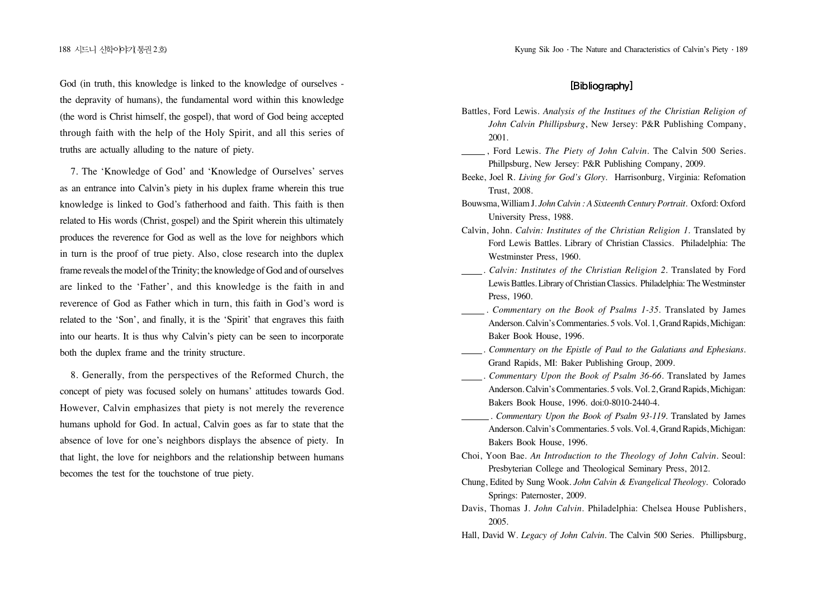God (in truth, this knowledge is linked to the knowledge of ourselves the depravity of humans), the fundamental word within this knowledge (the word is Christ himself, the gospel), that word of God being accepted through faith with the help of the Holy Spirit, and all this series of truths are actually alluding to the nature of piety.

7. The 'Knowledge of God' and 'Knowledge of Ourselves' serves as an entrance into Calvin's piety in his duplex frame wherein this true knowledge is linked to God's fatherhood and faith. This faith is then related to His words (Christ, gospel) and the Spirit wherein this ultimately produces the reverence for God as well as the love for neighbors which in turn is the proof of true piety. Also, close research into the duplex frame reveals the model of the Trinity; the knowledge of God and of ourselves are linked to the 'Father', and this knowledge is the faith in and reverence of God as Father which in turn, this faith in God's word is related to the 'Son', and finally, it is the 'Spirit' that engraves this faith into our hearts. It is thus why Calvin's piety can be seen to incorporate both the duplex frame and the trinity structure.

8. Generally, from the perspectives of the Reformed Church, the concept of piety was focused solely on humans' attitudes towards God. However, Calvin emphasizes that piety is not merely the reverence humans uphold for God. In actual, Calvin goes as far to state that the absence of love for one's neighbors displays the absence of piety. In that light, the love for neighbors and the relationship between humans becomes the test for the touchstone of true piety.

# [Bibliography]

- Battles, Ford Lewis. *Analysis of the Institues of the Christian Religion of John Calvin Phillipsburg*, New Jersey: P&R Publishing Company, 2001.
- , Ford Lewis. *The Piety of John Calvin*. The Calvin 500 Series. Phillpsburg, New Jersey: P&R Publishing Company, 2009.
- Beeke, Joel R. *Living for God's Glory*. Harrisonburg, Virginia: Refomation Trust, 2008.
- Bouwsma, William J. *John Calvin : A Sixteenth Century Portrait*. Oxford: Oxford University Press, 1988.
- Calvin, John. *Calvin: Institutes of the Christian Religion 1*. Translated by Ford Lewis Battles. Library of Christian Classics. Philadelphia: The Westminster Press, 1960.
- . *Calvin: Institutes of the Christian Religion 2*. Translated by Ford Lewis Battles. Library of Christian Classics. Philadelphia: The Westminster Press, 1960.
- . *Commentary on the Book of Psalms 1-35*. Translated by James Anderson. Calvin's Commentaries. 5 vols. Vol. 1, Grand Rapids, Michigan: Baker Book House, 1996.
- . *Commentary on the Epistle of Paul to the Galatians and Ephesians*. Grand Rapids, MI: Baker Publishing Group, 2009.
- . *Commentary Upon the Book of Psalm 36-66*. Translated by James Anderson. Calvin's Commentaries. 5 vols. Vol. 2, Grand Rapids, Michigan: Bakers Book House, 1996. doi:0-8010-2440-4.
	- . *Commentary Upon the Book of Psalm 93-119*. Translated by James Anderson. Calvin's Commentaries. 5 vols. Vol. 4, Grand Rapids, Michigan: Bakers Book House, 1996.
- Choi, Yoon Bae. *An Introduction to the Theology of John Calvin.* Seoul: Presbyterian College and Theological Seminary Press, 2012.
- Chung, Edited by Sung Wook. *John Calvin & Evangelical Theology*. Colorado Springs: Paternoster, 2009.
- Davis, Thomas J. *John Calvin*. Philadelphia: Chelsea House Publishers, 2005.
- Hall, David W. *Legacy of John Calvin*. The Calvin 500 Series. Phillipsburg,